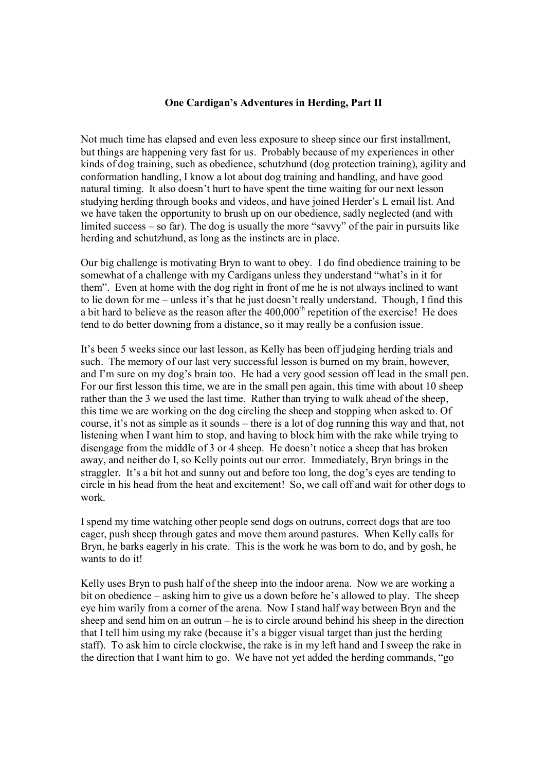## **One Cardigan's Adventures in Herding, Part II**

Not much time has elapsed and even less exposure to sheep since our first installment, but things are happening very fast for us. Probably because of my experiences in other kinds of dog training, such as obedience, schutzhund (dog protection training), agility and conformation handling, I know a lot about dog training and handling, and have good natural timing. It also doesn't hurt to have spent the time waiting for our next lesson studying herding through books and videos, and have joined Herder's L email list. And we have taken the opportunity to brush up on our obedience, sadly neglected (and with limited success – so far). The dog is usually the more "savvy" of the pair in pursuits like herding and schutzhund, as long as the instincts are in place.

Our big challenge is motivating Bryn to want to obey. I do find obedience training to be somewhat of a challenge with my Cardigans unless they understand "what's in it for them". Even at home with the dog right in front of me he is not always inclined to want to lie down for me – unless it's that he just doesn't really understand. Though, I find this a bit hard to believe as the reason after the 400,000<sup>th</sup> repetition of the exercise! He does tend to do better downing from a distance, so it may really be a confusion issue.

It's been 5 weeks since our last lesson, as Kelly has been off judging herding trials and such. The memory of our last very successful lesson is burned on my brain, however, and I'm sure on my dog's brain too. He had a very good session off lead in the small pen. For our first lesson this time, we are in the small pen again, this time with about 10 sheep rather than the 3 we used the last time. Rather than trying to walk ahead of the sheep, this time we are working on the dog circling the sheep and stopping when asked to. Of course, it's not as simple as it sounds – there is a lot of dog running this way and that, not listening when I want him to stop, and having to block him with the rake while trying to disengage from the middle of 3 or 4 sheep. He doesn't notice a sheep that has broken away, and neither do I, so Kelly points out our error. Immediately, Bryn brings in the straggler. It's a bit hot and sunny out and before too long, the dog's eyes are tending to circle in his head from the heat and excitement! So, we call off and wait for other dogs to work.

I spend my time watching other people send dogs on outruns, correct dogs that are too eager, push sheep through gates and move them around pastures. When Kelly calls for Bryn, he barks eagerly in his crate. This is the work he was born to do, and by gosh, he wants to do it!

Kelly uses Bryn to push half of the sheep into the indoor arena. Now we are working a bit on obedience – asking him to give us a down before he's allowed to play. The sheep eye him warily from a corner of the arena. Now I stand half way between Bryn and the sheep and send him on an outrun – he is to circle around behind his sheep in the direction that I tell him using my rake (because it's a bigger visual target than just the herding staff). To ask him to circle clockwise, the rake is in my left hand and I sweep the rake in the direction that I want him to go. We have not yet added the herding commands, "go